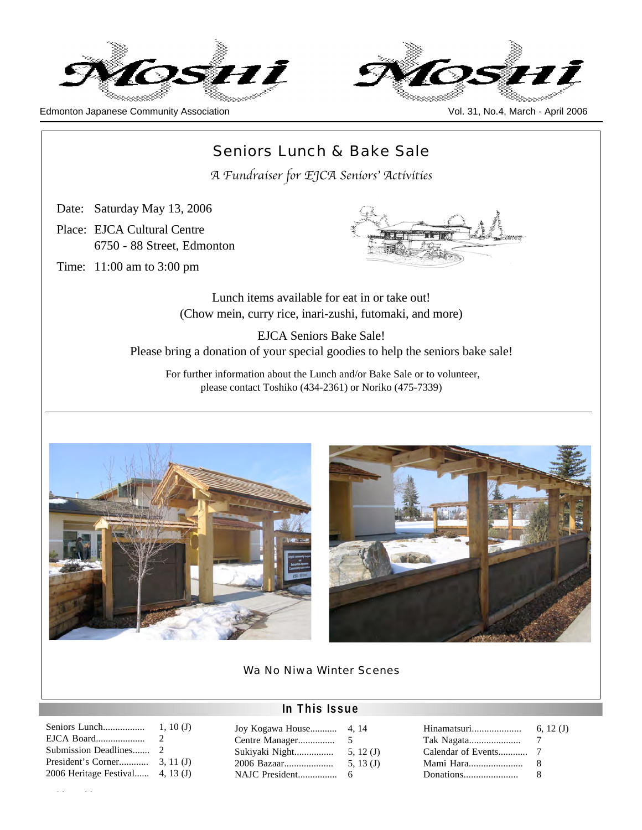





# Seniors Lunch & Bake Sale *A Fundraiser for EJCA Seniors*' *Activities*

Date: Saturday May 13, 2006

Place: EJCA Cultural Centre 6750 - 88 Street, Edmonton

Time: 11:00 am to 3:00 pm



Lunch items available for eat in or take out! (Chow mein, curry rice, inari-zushi, futomaki, and more)

EJCA Seniors Bake Sale! Please bring a donation of your special goodies to help the seniors bake sale!

For further information about the Lunch and/or Bake Sale or to volunteer, please contact Toshiko (434-2361) or Noriko (475-7339)





Wa No Niwa Winter Scenes

# **In This Issue**

| Seniors Lunch                                  | 1, 10(J)                    |
|------------------------------------------------|-----------------------------|
| EJCA Board                                     | $\mathcal{D}_{\mathcal{L}}$ |
| Submission Deadlines 2                         |                             |
|                                                |                             |
| 2006 Heritage Festival $\rightarrow$ 4, 13 (J) |                             |
|                                                |                             |

Moshi Moshi

| 4, 14       |
|-------------|
| 5           |
| 5, $12(J)$  |
| 5, 13 $(J)$ |
| 6           |
|             |

| Hinamatsuri | 6, $12(J)$ |
|-------------|------------|
| Tak Nagata  |            |
|             |            |
| Mami Hara   | 8          |
| Donations   | я          |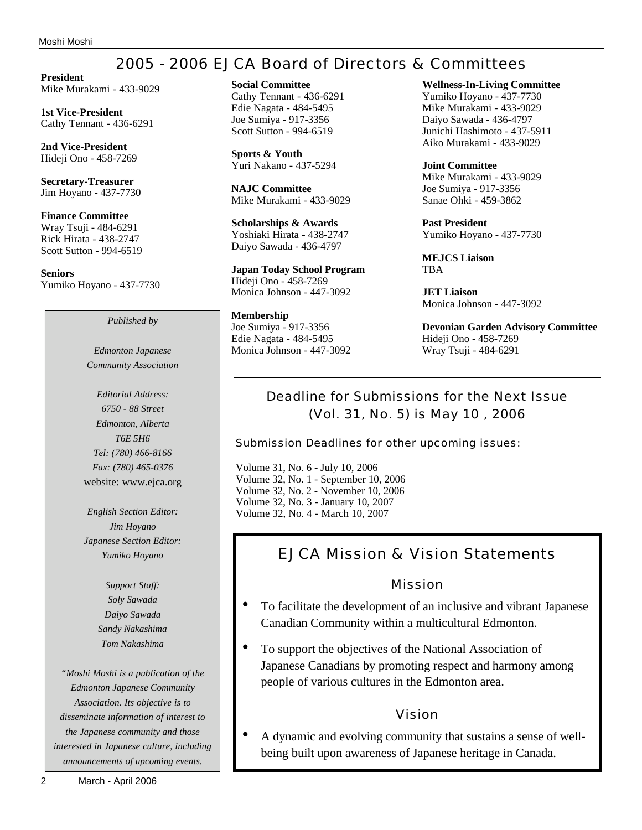# 2005 - 2006 EJCA Board of Directors & Committees

**President** Mike Murakami - 433-9029

**1st Vice-President** Cathy Tennant - 436-6291

**2nd Vice-President** Hideji Ono - 458-7269

**Secretary-Treasurer** Jim Hoyano - 437-7730

**Finance Committee** Wray Tsuji - 484-6291 Rick Hirata - 438-2747 Scott Sutton - 994-6519

**Seniors** Yumiko Hoyano - 437-7730

*Published by*

*Edmonton Japanese Community Association*

*Editorial Address: 6750 - 88 Street Edmonton, Alberta T6E 5H6 Tel: (780) 466-8166 Fax: (780) 465-0376* website: www.ejca.org

*English Section Editor: Jim Hoyano Japanese Section Editor: Yumiko Hoyano*

> *Support Staff: Soly Sawada Daiyo Sawada Sandy Nakashima Tom Nakashima*

*"Moshi Moshi is a publication of the Edmonton Japanese Community Association. Its objective is to disseminate information of interest to the Japanese community and those interested in Japanese culture, including announcements of upcoming events.*

**Sports & Youth** Yuri Nakano - 437-5294

**NAJC Committee** Mike Murakami - 433-9029

**Scholarships & Awards** Yoshiaki Hirata - 438-2747 Daiyo Sawada - 436-4797

**Japan Today School Program** Hideji Ono - 458-7269 Monica Johnson - 447-3092

**Membership** Joe Sumiya - 917-3356 Edie Nagata - 484-5495 Monica Johnson - 447-3092 **Wellness-In-Living Committee** Yumiko Hoyano - 437-7730 Mike Murakami - 433-9029 Daiyo Sawada - 436-4797 Junichi Hashimoto - 437-5911 Aiko Murakami - 433-9029

**Joint Committee** Mike Murakami - 433-9029 Joe Sumiya - 917-3356 Sanae Ohki - 459-3862

**Past President** Yumiko Hoyano - 437-7730

**MEJCS Liaison TRA** 

**JET Liaison** Monica Johnson - 447-3092

**Devonian Garden Advisory Committee** Hideji Ono - 458-7269 Wray Tsuji - 484-6291

# Deadline for Submissions for the Next Issue (Vol. 31, No. 5) is May 10 , 2006

Submission Deadlines for other upcoming issues:

Volume 31, No. 6 - July 10, 2006 Volume 32, No. 1 - September 10, 2006 Volume 32, No. 2 - November 10, 2006 Volume 32, No. 3 - January 10, 2007 Volume 32, No. 4 - March 10, 2007

# EJCA Mission & Vision Statements

### Mission

- To facilitate the development of an inclusive and vibrant Japanese Canadian Community within a multicultural Edmonton.
- To support the objectives of the National Association of Japanese Canadians by promoting respect and harmony among people of various cultures in the Edmonton area.

## Vision

• A dynamic and evolving community that sustains a sense of wellbeing built upon awareness of Japanese heritage in Canada.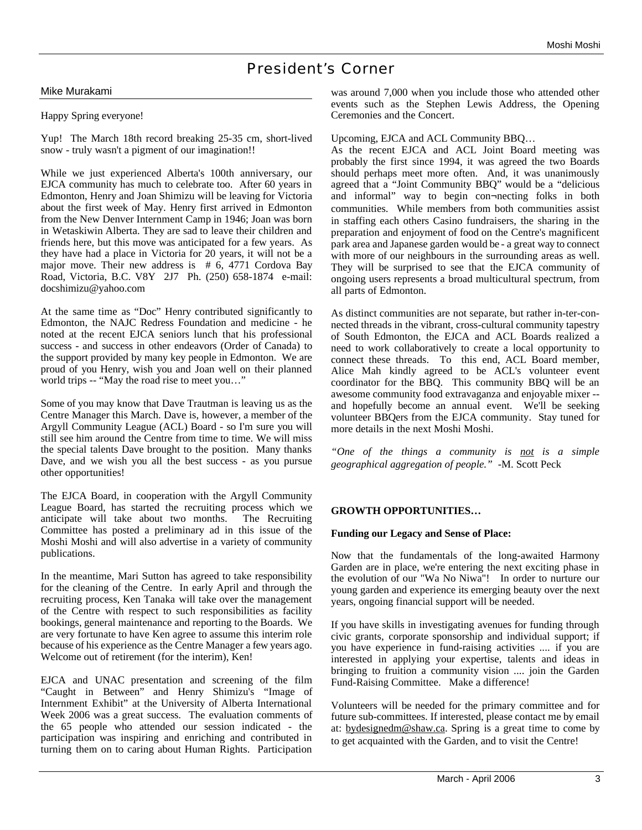# President's Corner

#### Mike Murakami

Happy Spring everyone!

Yup! The March 18th record breaking 25-35 cm, short-lived snow - truly wasn't a pigment of our imagination!!

While we just experienced Alberta's 100th anniversary, our EJCA community has much to celebrate too. After 60 years in Edmonton, Henry and Joan Shimizu will be leaving for Victoria about the first week of May. Henry first arrived in Edmonton from the New Denver Internment Camp in 1946; Joan was born in Wetaskiwin Alberta. They are sad to leave their children and friends here, but this move was anticipated for a few years. As they have had a place in Victoria for 20 years, it will not be a major move. Their new address is # 6, 4771 Cordova Bay Road, Victoria, B.C. V8Y 2J7 Ph. (250) 658-1874 e-mail: docshimizu@yahoo.com

At the same time as "Doc" Henry contributed significantly to Edmonton, the NAJC Redress Foundation and medicine - he noted at the recent EJCA seniors lunch that his professional success - and success in other endeavors (Order of Canada) to the support provided by many key people in Edmonton. We are proud of you Henry, wish you and Joan well on their planned world trips -- "May the road rise to meet you…"

Some of you may know that Dave Trautman is leaving us as the Centre Manager this March. Dave is, however, a member of the Argyll Community League (ACL) Board - so I'm sure you will still see him around the Centre from time to time. We will miss the special talents Dave brought to the position. Many thanks Dave, and we wish you all the best success - as you pursue other opportunities!

The EJCA Board, in cooperation with the Argyll Community League Board, has started the recruiting process which we anticipate will take about two months. The Recruiting Committee has posted a preliminary ad in this issue of the Moshi Moshi and will also advertise in a variety of community publications.

In the meantime, Mari Sutton has agreed to take responsibility for the cleaning of the Centre. In early April and through the recruiting process, Ken Tanaka will take over the management of the Centre with respect to such responsibilities as facility bookings, general maintenance and reporting to the Boards. We are very fortunate to have Ken agree to assume this interim role because of his experience as the Centre Manager a few years ago. Welcome out of retirement (for the interim), Ken!

EJCA and UNAC presentation and screening of the film "Caught in Between" and Henry Shimizu's "Image of Internment Exhibit" at the University of Alberta International Week 2006 was a great success. The evaluation comments of the 65 people who attended our session indicated - the participation was inspiring and enriching and contributed in turning them on to caring about Human Rights. Participation

was around 7,000 when you include those who attended other events such as the Stephen Lewis Address, the Opening Ceremonies and the Concert.

Upcoming, EJCA and ACL Community BBQ…

As the recent EJCA and ACL Joint Board meeting was probably the first since 1994, it was agreed the two Boards should perhaps meet more often. And, it was unanimously agreed that a "Joint Community BBQ" would be a "delicious and informal" way to begin con¬necting folks in both communities. While members from both communities assist in staffing each others Casino fundraisers, the sharing in the preparation and enjoyment of food on the Centre's magnificent park area and Japanese garden would be - a great way to connect with more of our neighbours in the surrounding areas as well. They will be surprised to see that the EJCA community of ongoing users represents a broad multicultural spectrum, from all parts of Edmonton.

As distinct communities are not separate, but rather in-ter-connected threads in the vibrant, cross-cultural community tapestry of South Edmonton, the EJCA and ACL Boards realized a need to work collaboratively to create a local opportunity to connect these threads. To this end, ACL Board member, Alice Mah kindly agreed to be ACL's volunteer event coordinator for the BBQ. This community BBQ will be an awesome community food extravaganza and enjoyable mixer - and hopefully become an annual event. We'll be seeking volunteer BBQers from the EJCA community. Stay tuned for more details in the next Moshi Moshi.

*"One of the things a community is not is a simple geographical aggregation of people."* -M. Scott Peck

#### **GROWTH OPPORTUNITIES…**

#### **Funding our Legacy and Sense of Place:**

Now that the fundamentals of the long-awaited Harmony Garden are in place, we're entering the next exciting phase in the evolution of our "Wa No Niwa"! In order to nurture our young garden and experience its emerging beauty over the next years, ongoing financial support will be needed.

If you have skills in investigating avenues for funding through civic grants, corporate sponsorship and individual support; if you have experience in fund-raising activities .... if you are interested in applying your expertise, talents and ideas in bringing to fruition a community vision .... join the Garden Fund-Raising Committee. Make a difference!

Volunteers will be needed for the primary committee and for future sub-committees. If interested, please contact me by email at: bydesignedm@shaw.ca. Spring is a great time to come by to get acquainted with the Garden, and to visit the Centre!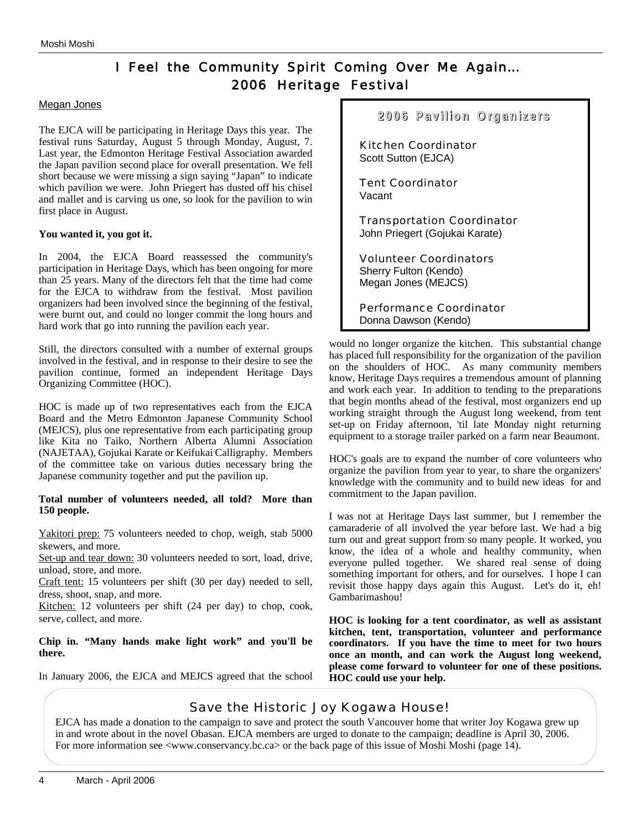# I Feel the Community Spirit Coming Over Me Again… 2006 Heritage Festival

#### Megan Jones

The EJCA will be participating in Heritage Days this year. The festival runs Saturday, August 5 through Monday, August, 7. Last year, the Edmonton Heritage Festival Association awarded the Japan pavilion second place for overall presentation. We fell short because we were missing a sign saying "Japan" to indicate which pavilion we were. John Priegert has dusted off his chisel and mallet and is carving us one, so look for the pavilion to win first place in August.

#### **You wanted it, you got it.**

In 2004, the EJCA Board reassessed the community's participation in Heritage Days, which has been ongoing for more than 25 years. Many of the directors felt that the time had come for the EJCA to withdraw from the festival. Most pavilion organizers had been involved since the beginning of the festival, were burnt out, and could no longer commit the long hours and hard work that go into running the pavilion each year.

Still, the directors consulted with a number of external groups involved in the festival, and in response to their desire to see the pavilion continue, formed an independent Heritage Days Organizing Committee (HOC).

HOC is made up of two representatives each from the EJCA Board and the Metro Edmonton Japanese Community School (MEJCS), plus one representative from each participating group like Kita no Taiko, Northern Alberta Alumni Association (NAJETAA), Gojukai Karate or Keifukai Calligraphy. Members of the committee take on various duties necessary bring the Japanese community together and put the pavilion up.

#### **Total number of volunteers needed, all told? More than 150 people.**

Yakitori prep: 75 volunteers needed to chop, weigh, stab 5000 skewers, and more.

Set-up and tear down: 30 volunteers needed to sort, load, drive, unload, store, and more.

Craft tent: 15 volunteers per shift (30 per day) needed to sell, dress, shoot, snap, and more.

Kitchen: 12 volunteers per shift (24 per day) to chop, cook, serve, collect, and more.

**Chip in. "Many hands make light work" and you'll be there.**

In January 2006, the EJCA and MEJCS agreed that the school



would no longer organize the kitchen. This substantial change has placed full responsibility for the organization of the pavilion on the shoulders of HOC. As many community members know, Heritage Days requires a tremendous amount of planning and work each year. In addition to tending to the preparations that begin months ahead of the festival, most organizers end up working straight through the August long weekend, from tent set-up on Friday afternoon, 'til late Monday night returning equipment to a storage trailer parked on a farm near Beaumont.

HOC's goals are to expand the number of core volunteers who organize the pavilion from year to year, to share the organizers' knowledge with the community and to build new ideas for and commitment to the Japan pavilion.

I was not at Heritage Days last summer, but I remember the camaraderie of all involved the year before last. We had a big turn out and great support from so many people. It worked, you know, the idea of a whole and healthy community, when everyone pulled together. We shared real sense of doing something important for others, and for ourselves. I hope I can revisit those happy days again this August. Let's do it, eh! Gambarimashou!

**HOC is looking for a tent coordinator, as well as assistant kitchen, tent, transportation, volunteer and performance coordinators. If you have the time to meet for two hours once an month, and can work the August long weekend, please come forward to volunteer for one of these positions. HOC could use your help.** 

## Save the Historic Joy Kogawa House!

EJCA has made a donation to the campaign to save and protect the south Vancouver home that writer Joy Kogawa grew up in and wrote about in the novel Obasan. EJCA members are urged to donate to the campaign; deadline is April 30, 2006. For more information see <www.conservancy.bc.ca> or the back page of this issue of Moshi Moshi (page 14).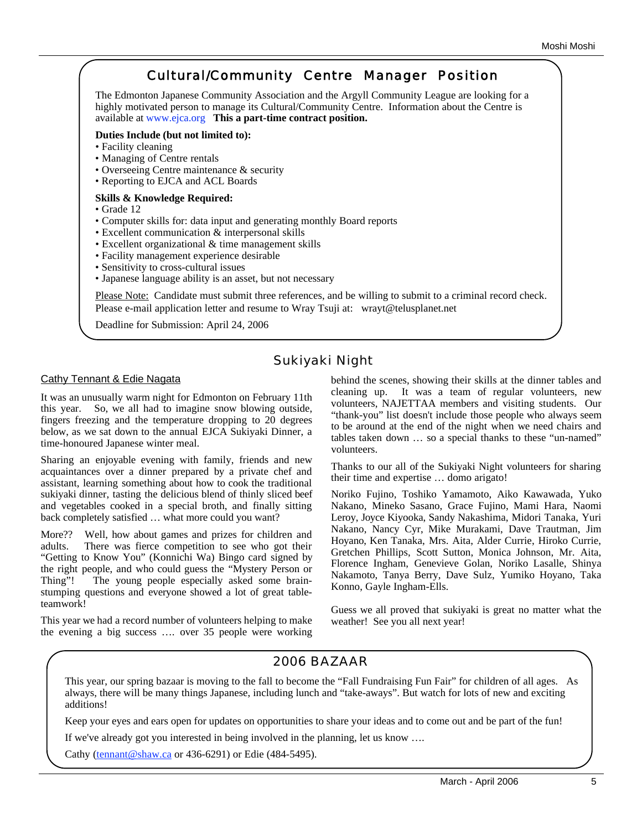#### Cultural/Community Centre Manager Position The Edmonton Japanese Community Association and the Argyll Community League are looking for a highly motivated person to manage its Cultural/Community Centre. Information about the Centre is available at www.ejca.org **This a part-time contract position. Duties Include (but not limited to):** • Facility cleaning • Managing of Centre rentals • Overseeing Centre maintenance & security • Reporting to EJCA and ACL Boards **Skills & Knowledge Required:** • Grade 12 • Computer skills for: data input and generating monthly Board reports • Excellent communication & interpersonal skills • Excellent organizational & time management skills • Facility management experience desirable • Sensitivity to cross-cultural issues • Japanese language ability is an asset, but not necessary Please Note: Candidate must submit three references, and be willing to submit to a criminal record check. Please e-mail application letter and resume to Wray Tsuji at: wrayt@telusplanet.net Deadline for Submission: April 24, 2006

## Sukiyaki Night

#### Cathy Tennant & Edie Nagata

It was an unusually warm night for Edmonton on February 11th this year. So, we all had to imagine snow blowing outside, fingers freezing and the temperature dropping to 20 degrees below, as we sat down to the annual EJCA Sukiyaki Dinner, a time-honoured Japanese winter meal.

Sharing an enjoyable evening with family, friends and new acquaintances over a dinner prepared by a private chef and assistant, learning something about how to cook the traditional sukiyaki dinner, tasting the delicious blend of thinly sliced beef and vegetables cooked in a special broth, and finally sitting back completely satisfied … what more could you want?

More?? Well, how about games and prizes for children and adults. There was fierce competition to see who got their "Getting to Know You" (Konnichi Wa) Bingo card signed by the right people, and who could guess the "Mystery Person or Thing"! The young people especially asked some brainstumping questions and everyone showed a lot of great tableteamwork!

This year we had a record number of volunteers helping to make the evening a big success …. over 35 people were working behind the scenes, showing their skills at the dinner tables and cleaning up. It was a team of regular volunteers, new volunteers, NAJETTAA members and visiting students. Our "thank-you" list doesn't include those people who always seem to be around at the end of the night when we need chairs and tables taken down … so a special thanks to these "un-named" volunteers.

Thanks to our all of the Sukiyaki Night volunteers for sharing their time and expertise … domo arigato!

Noriko Fujino, Toshiko Yamamoto, Aiko Kawawada, Yuko Nakano, Mineko Sasano, Grace Fujino, Mami Hara, Naomi Leroy, Joyce Kiyooka, Sandy Nakashima, Midori Tanaka, Yuri Nakano, Nancy Cyr, Mike Murakami, Dave Trautman, Jim Hoyano, Ken Tanaka, Mrs. Aita, Alder Currie, Hiroko Currie, Gretchen Phillips, Scott Sutton, Monica Johnson, Mr. Aita, Florence Ingham, Genevieve Golan, Noriko Lasalle, Shinya Nakamoto, Tanya Berry, Dave Sulz, Yumiko Hoyano, Taka Konno, Gayle Ingham-Ells.

Guess we all proved that sukiyaki is great no matter what the weather! See you all next year!

## 2006 BAZAAR

This year, our spring bazaar is moving to the fall to become the "Fall Fundraising Fun Fair" for children of all ages. As always, there will be many things Japanese, including lunch and "take-aways". But watch for lots of new and exciting additions!

Keep your eyes and ears open for updates on opportunities to share your ideas and to come out and be part of the fun!

If we've already got you interested in being involved in the planning, let us know ….

Cathy (tennant@shaw.ca or 436-6291) or Edie (484-5495).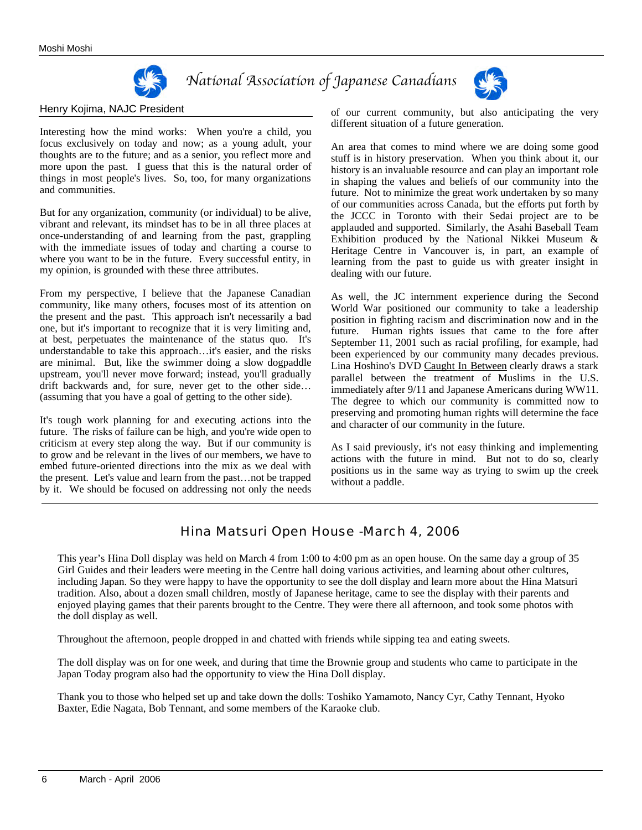

# *National Association of Japanese Canadians*



#### Henry Kojima, NAJC President

Interesting how the mind works: When you're a child, you focus exclusively on today and now; as a young adult, your thoughts are to the future; and as a senior, you reflect more and more upon the past. I guess that this is the natural order of things in most people's lives. So, too, for many organizations and communities.

But for any organization, community (or individual) to be alive, vibrant and relevant, its mindset has to be in all three places at once-understanding of and learning from the past, grappling with the immediate issues of today and charting a course to where you want to be in the future. Every successful entity, in my opinion, is grounded with these three attributes.

From my perspective, I believe that the Japanese Canadian community, like many others, focuses most of its attention on the present and the past. This approach isn't necessarily a bad one, but it's important to recognize that it is very limiting and, at best, perpetuates the maintenance of the status quo. It's understandable to take this approach…it's easier, and the risks are minimal. But, like the swimmer doing a slow dogpaddle upstream, you'll never move forward; instead, you'll gradually drift backwards and, for sure, never get to the other side… (assuming that you have a goal of getting to the other side).

It's tough work planning for and executing actions into the future. The risks of failure can be high, and you're wide open to criticism at every step along the way. But if our community is to grow and be relevant in the lives of our members, we have to embed future-oriented directions into the mix as we deal with the present. Let's value and learn from the past…not be trapped by it. We should be focused on addressing not only the needs

of our current community, but also anticipating the very different situation of a future generation.

An area that comes to mind where we are doing some good stuff is in history preservation. When you think about it, our history is an invaluable resource and can play an important role in shaping the values and beliefs of our community into the future. Not to minimize the great work undertaken by so many of our communities across Canada, but the efforts put forth by the JCCC in Toronto with their Sedai project are to be applauded and supported. Similarly, the Asahi Baseball Team Exhibition produced by the National Nikkei Museum & Heritage Centre in Vancouver is, in part, an example of learning from the past to guide us with greater insight in dealing with our future.

As well, the JC internment experience during the Second World War positioned our community to take a leadership position in fighting racism and discrimination now and in the future. Human rights issues that came to the fore after September 11, 2001 such as racial profiling, for example, had been experienced by our community many decades previous. Lina Hoshino's DVD Caught In Between clearly draws a stark parallel between the treatment of Muslims in the U.S. immediately after 9/11 and Japanese Americans during WW11. The degree to which our community is committed now to preserving and promoting human rights will determine the face and character of our community in the future.

As I said previously, it's not easy thinking and implementing actions with the future in mind. But not to do so, clearly positions us in the same way as trying to swim up the creek without a paddle.

## Hina Matsuri Open House -March 4, 2006

This year's Hina Doll display was held on March 4 from 1:00 to 4:00 pm as an open house. On the same day a group of 35 Girl Guides and their leaders were meeting in the Centre hall doing various activities, and learning about other cultures, including Japan. So they were happy to have the opportunity to see the doll display and learn more about the Hina Matsuri tradition. Also, about a dozen small children, mostly of Japanese heritage, came to see the display with their parents and enjoyed playing games that their parents brought to the Centre. They were there all afternoon, and took some photos with the doll display as well.

Throughout the afternoon, people dropped in and chatted with friends while sipping tea and eating sweets.

The doll display was on for one week, and during that time the Brownie group and students who came to participate in the Japan Today program also had the opportunity to view the Hina Doll display.

Thank you to those who helped set up and take down the dolls: Toshiko Yamamoto, Nancy Cyr, Cathy Tennant, Hyoko Baxter, Edie Nagata, Bob Tennant, and some members of the Karaoke club.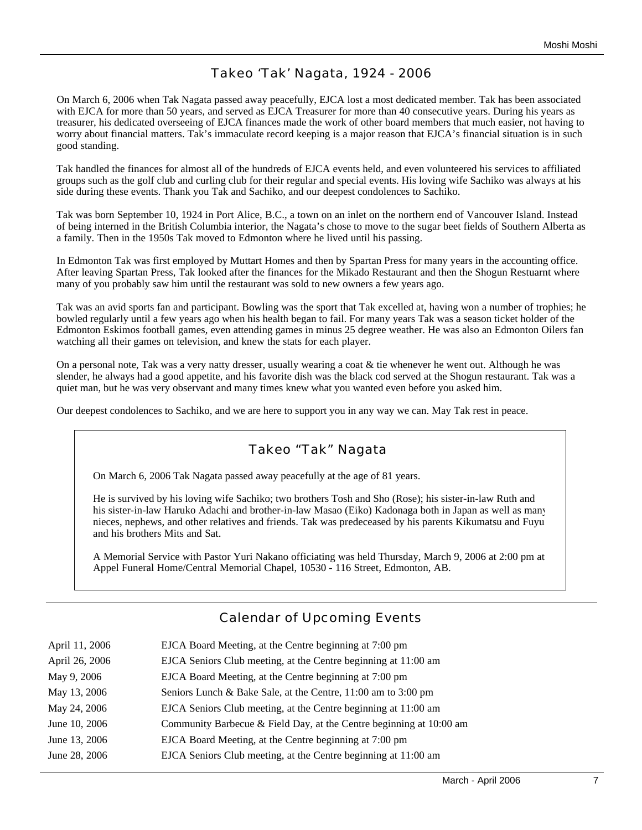## Takeo 'Tak' Nagata, 1924 - 2006

On March 6, 2006 when Tak Nagata passed away peacefully, EJCA lost a most dedicated member. Tak has been associated with EJCA for more than 50 years, and served as EJCA Treasurer for more than 40 consecutive years. During his years as treasurer, his dedicated overseeing of EJCA finances made the work of other board members that much easier, not having to worry about financial matters. Tak's immaculate record keeping is a major reason that EJCA's financial situation is in such good standing.

Tak handled the finances for almost all of the hundreds of EJCA events held, and even volunteered his services to affiliated groups such as the golf club and curling club for their regular and special events. His loving wife Sachiko was always at his side during these events. Thank you Tak and Sachiko, and our deepest condolences to Sachiko.

Tak was born September 10, 1924 in Port Alice, B.C., a town on an inlet on the northern end of Vancouver Island. Instead of being interned in the British Columbia interior, the Nagata's chose to move to the sugar beet fields of Southern Alberta as a family. Then in the 1950s Tak moved to Edmonton where he lived until his passing.

In Edmonton Tak was first employed by Muttart Homes and then by Spartan Press for many years in the accounting office. After leaving Spartan Press, Tak looked after the finances for the Mikado Restaurant and then the Shogun Restuarnt where many of you probably saw him until the restaurant was sold to new owners a few years ago.

Tak was an avid sports fan and participant. Bowling was the sport that Tak excelled at, having won a number of trophies; he bowled regularly until a few years ago when his health began to fail. For many years Tak was a season ticket holder of the Edmonton Eskimos football games, even attending games in minus 25 degree weather. He was also an Edmonton Oilers fan watching all their games on television, and knew the stats for each player.

On a personal note, Tak was a very natty dresser, usually wearing a coat  $\&$  tie whenever he went out. Although he was slender, he always had a good appetite, and his favorite dish was the black cod served at the Shogun restaurant. Tak was a quiet man, but he was very observant and many times knew what you wanted even before you asked him.

Our deepest condolences to Sachiko, and we are here to support you in any way we can. May Tak rest in peace.

### Takeo "Tak" Nagata

On March 6, 2006 Tak Nagata passed away peacefully at the age of 81 years.

He is survived by his loving wife Sachiko; two brothers Tosh and Sho (Rose); his sister-in-law Ruth and his sister-in-law Haruko Adachi and brother-in-law Masao (Eiko) Kadonaga both in Japan as well as many nieces, nephews, and other relatives and friends. Tak was predeceased by his parents Kikumatsu and Fuyu and his brothers Mits and Sat.

A Memorial Service with Pastor Yuri Nakano officiating was held Thursday, March 9, 2006 at 2:00 pm at Appel Funeral Home/Central Memorial Chapel, 10530 - 116 Street, Edmonton, AB.

## Calendar of Upcoming Events

| April 11, 2006 | EJCA Board Meeting, at the Centre beginning at 7:00 pm              |
|----------------|---------------------------------------------------------------------|
| April 26, 2006 | EJCA Seniors Club meeting, at the Centre beginning at 11:00 am      |
| May 9, 2006    | EJCA Board Meeting, at the Centre beginning at 7:00 pm              |
| May 13, 2006   | Seniors Lunch & Bake Sale, at the Centre, 11:00 am to 3:00 pm       |
| May 24, 2006   | EJCA Seniors Club meeting, at the Centre beginning at 11:00 am      |
| June 10, 2006  | Community Barbecue & Field Day, at the Centre beginning at 10:00 am |
| June 13, 2006  | EJCA Board Meeting, at the Centre beginning at 7:00 pm              |
| June 28, 2006  | EJCA Seniors Club meeting, at the Centre beginning at 11:00 am      |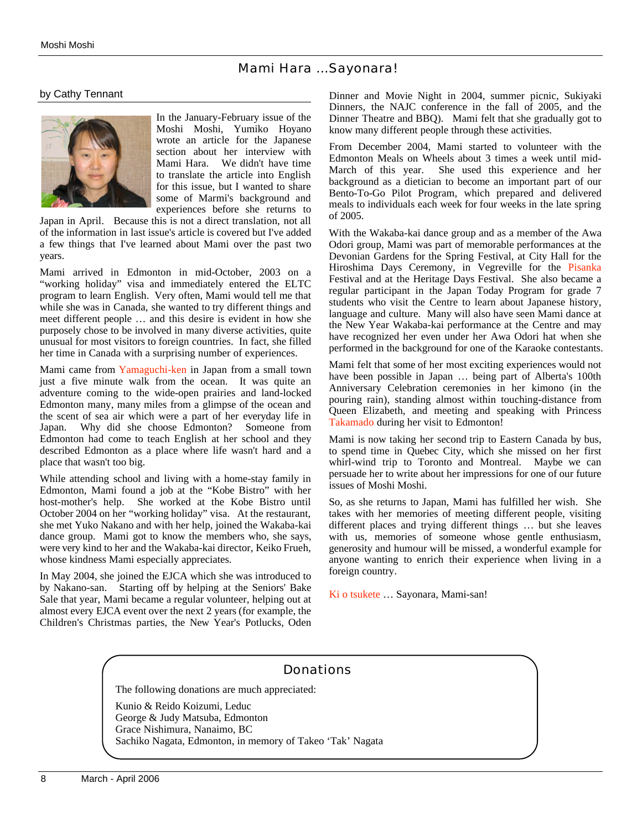#### Mami Hara ...Sayonara!

#### by Cathy Tennant



In the January-February issue of the Moshi Moshi, Yumiko Hoyano wrote an article for the Japanese section about her interview with Mami Hara. We didn't have time to translate the article into English for this issue, but I wanted to share some of Marmi's background and experiences before she returns to

Japan in April. Because this is not a direct translation, not all of the information in last issue's article is covered but I've added a few things that I've learned about Mami over the past two years.

Mami arrived in Edmonton in mid-October, 2003 on a "working holiday" visa and immediately entered the ELTC program to learn English. Very often, Mami would tell me that while she was in Canada, she wanted to try different things and meet different people … and this desire is evident in how she purposely chose to be involved in many diverse activities, quite unusual for most visitors to foreign countries. In fact, she filled her time in Canada with a surprising number of experiences.

Mami came from Yamaguchi-ken in Japan from a small town just a five minute walk from the ocean. It was quite an adventure coming to the wide-open prairies and land-locked Edmonton many, many miles from a glimpse of the ocean and the scent of sea air which were a part of her everyday life in Japan. Why did she choose Edmonton? Someone from Edmonton had come to teach English at her school and they described Edmonton as a place where life wasn't hard and a place that wasn't too big.

While attending school and living with a home-stay family in Edmonton, Mami found a job at the "Kobe Bistro" with her host-mother's help. She worked at the Kobe Bistro until October 2004 on her "working holiday" visa. At the restaurant, she met Yuko Nakano and with her help, joined the Wakaba-kai dance group. Mami got to know the members who, she says, were very kind to her and the Wakaba-kai director, Keiko Frueh, whose kindness Mami especially appreciates.

In May 2004, she joined the EJCA which she was introduced to by Nakano-san. Starting off by helping at the Seniors' Bake Sale that year, Mami became a regular volunteer, helping out at almost every EJCA event over the next 2 years (for example, the Children's Christmas parties, the New Year's Potlucks, Oden

Dinner and Movie Night in 2004, summer picnic, Sukiyaki Dinners, the NAJC conference in the fall of 2005, and the Dinner Theatre and BBQ). Mami felt that she gradually got to know many different people through these activities.

From December 2004, Mami started to volunteer with the Edmonton Meals on Wheels about 3 times a week until mid-March of this year. She used this experience and her background as a dietician to become an important part of our Bento-To-Go Pilot Program, which prepared and delivered meals to individuals each week for four weeks in the late spring of 2005.

With the Wakaba-kai dance group and as a member of the Awa Odori group, Mami was part of memorable performances at the Devonian Gardens for the Spring Festival, at City Hall for the Hiroshima Days Ceremony, in Vegreville for the Pisanka Festival and at the Heritage Days Festival. She also became a regular participant in the Japan Today Program for grade 7 students who visit the Centre to learn about Japanese history, language and culture. Many will also have seen Mami dance at the New Year Wakaba-kai performance at the Centre and may have recognized her even under her Awa Odori hat when she performed in the background for one of the Karaoke contestants.

Mami felt that some of her most exciting experiences would not have been possible in Japan … being part of Alberta's 100th Anniversary Celebration ceremonies in her kimono (in the pouring rain), standing almost within touching-distance from Queen Elizabeth, and meeting and speaking with Princess Takamado during her visit to Edmonton!

Mami is now taking her second trip to Eastern Canada by bus, to spend time in Quebec City, which she missed on her first whirl-wind trip to Toronto and Montreal. Maybe we can persuade her to write about her impressions for one of our future issues of Moshi Moshi.

So, as she returns to Japan, Mami has fulfilled her wish. She takes with her memories of meeting different people, visiting different places and trying different things … but she leaves with us, memories of someone whose gentle enthusiasm, generosity and humour will be missed, a wonderful example for anyone wanting to enrich their experience when living in a foreign country.

Ki o tsukete … Sayonara, Mami-san!

### Donations

The following donations are much appreciated:

Kunio & Reido Koizumi, Leduc George & Judy Matsuba, Edmonton Grace Nishimura, Nanaimo, BC Sachiko Nagata, Edmonton, in memory of Takeo 'Tak' Nagata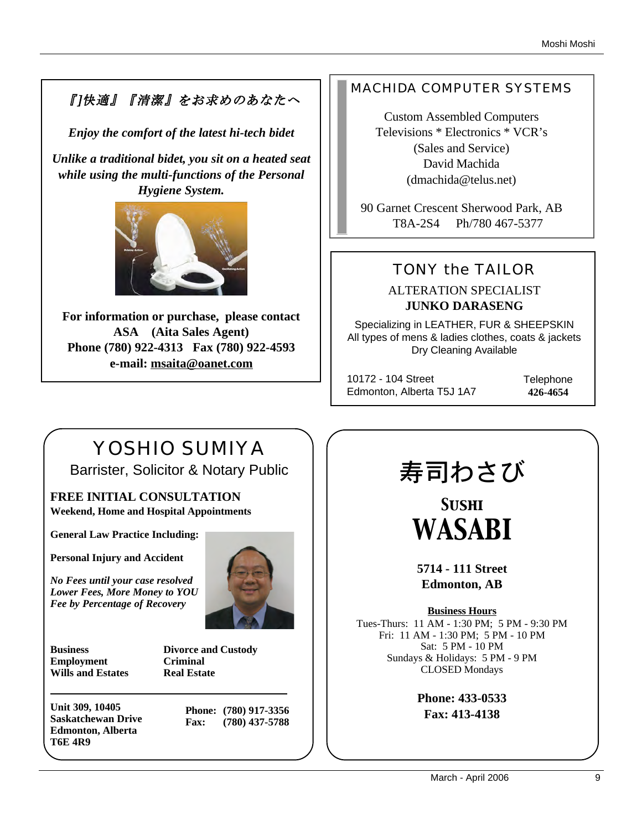# 『]快適』『清潔』をお求めのあなたへ

*Enjoy the comfort of the latest hi-tech bidet*

*Unlike a traditional bidet, you sit on a heated seat while using the multi-functions of the Personal Hygiene System.* 



**For information or purchase, please contact ASA (Aita Sales Agent) Phone (780) 922-4313 Fax (780) 922-4593 e-mail: msaita@oanet.com**

# MACHIDA COMPUTER SYSTEMS

Custom Assembled Computers Televisions \* Electronics \* VCR's (Sales and Service) David Machida (dmachida@telus.net)

90 Garnet Crescent Sherwood Park, AB T8A-2S4 Ph/780 467-5377

# TONY the TAILOR

ALTERATION SPECIALIST **JUNKO DARASENG**

Specializing in LEATHER, FUR & SHEEPSKIN All types of mens & ladies clothes, coats & jackets Dry Cleaning Available

10172 - 104 Street Edmonton, Alberta T5J 1A7 **Telephone 426-4654**

# YOSHIO SUMIYA Barrister, Solicitor & Notary Public

**FREE INITIAL CONSULTATION Weekend, Home and Hospital Appointments**

**General Law Practice Including:**

**Personal Injury and Accident**

*No Fees until your case resolved Lower Fees, More Money to YOU Fee by Percentage of Recovery*



**Business Divorce and Custody Employment Criminal Wills and Estates Real Estate**

**Unit 309, 10405 Saskatchewan Drive Edmonton, Alberta T6E 4R9**

**Phone: (780) 917-3356 Fax: (780) 437-5788**

# 寿司わさび

*Sushi WASABI*

**5714 - 111 Street Edmonton, AB**

**Business Hours** Tues-Thurs: 11 AM - 1:30 PM; 5 PM - 9:30 PM Fri: 11 AM - 1:30 PM; 5 PM - 10 PM Sat: 5 PM - 10 PM Sundays & Holidays: 5 PM - 9 PM CLOSED Mondays

> **Phone: 433-0533 Fax: 413-4138**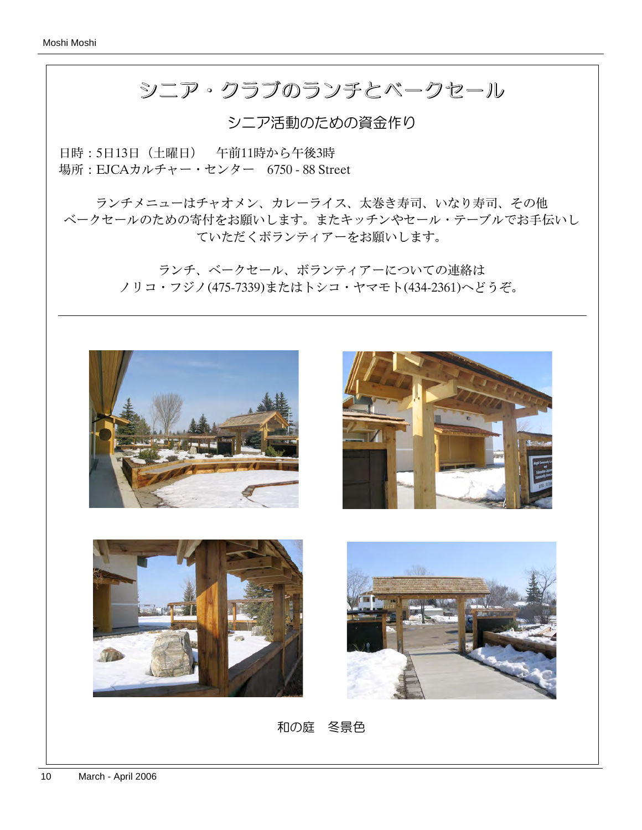# シニア・クラブのランチとベークセール シニア・クラブのランチとベークセール

シニア活動のための資金作り

日時:5日13日(土曜日) 午前11時から午後3時 場所:EJCAカルチャー・センター 6750 - 88 Street

ランチメニューはチャオメン、カレーライス、太巻き寿司、いなり寿司、その他 ベークセールのための寄付をお願いします。またキッチンやセール・テーブルでお手伝いし ていただくボランティアーをお願いします。

> ランチ、ベークセール、ボランティアーについての連絡は ノリコ・フジノ(475-7339)またはトシコ・ヤマモト(434-2361)へどうぞ。









和の庭 冬景色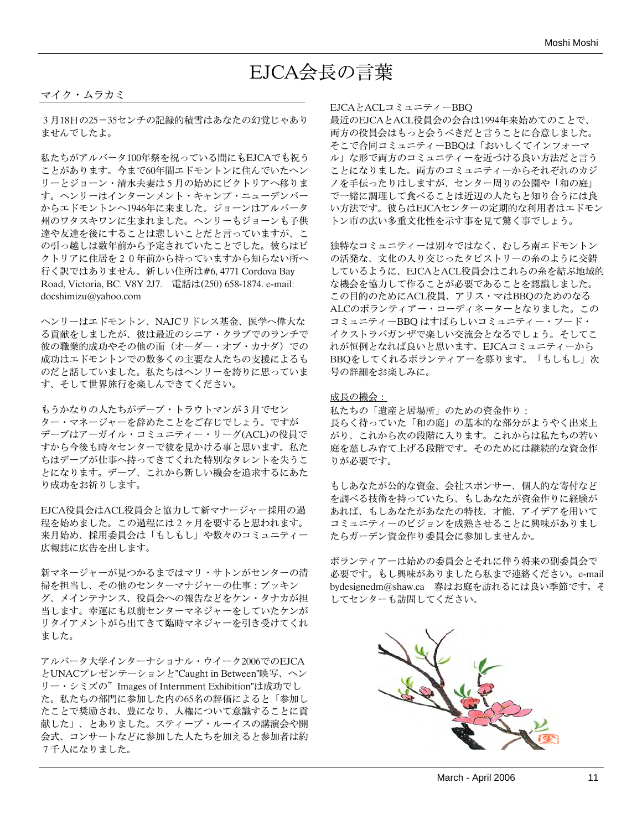# EJCA会長の言葉

#### マイク・ムラカミ

3月18日の25-35センチの記録的積雪はあなたの幻覚じゃあり ませんでしたよ。

私たちがアルバータ100年祭を祝っている間にもEJCAでも祝う ことがあります。今まで60年間エドモントンに住んでいたヘン リーとジョーン・清水夫妻は5月の始めにビクトリアへ移りま す。ヘンリーはインターンメント・キャンプ・ニューデンバー からエドモントンへ1946年に来ました。ジョーンはアルバータ 州のワタスキワンに生まれました。ヘンリーもジョーンも子供 達や友達を後にすることは悲しいことだと言っていますが、こ の引っ越しは数年前から予定されていたことでした。彼らはビ クトリアに住居を20年前から持っていますから知らない所へ 行く訳ではありません。新しい住所は#6, 4771 Cordova Bay Road, Victoria, BC. V8Y 2J7. 電話は(250) 658-1874. e-mail: docshimizu@yahoo.com

ヘンリーはエドモントン、NAJCリドレス基金、医学へ偉大な る貢献をしましたが、彼は最近のシニア・クラブでのランチで 彼の職業的成功やその他の面(オーダー・オブ・カナダ)での 成功はエドモントンでの数多くの主要な人たちの支援によるも のだと話していました。私たちはヘンリーを誇りに思っていま す、そして世界旅行を楽しんできてください。

もうかなりの人たちがデーブ・トラウトマンが3月でセン ター・マネージャーを辞めたことをご存じでしょう。ですが デーブはアーガイル・コミュニティー・リーグ(ACL)の役員で すから今後も時々センターで彼を見かける事と思います。私た ちはデーブが仕事へ持ってきてくれた特別なタレントを失うこ とになります。デーブ、これから新しい機会を追求するにあた り成功をお祈りします。

EJCA役員会はACL役員会と協力して新マナージャー採用の過 程を始めました。この過程には2ヶ月を要すると思われます。 来月始め、採用委員会は「もしもし」や数々のコミュニティー 広報誌に広告を出します。

新マネージャーが見つかるまではマリ・サトンがセンターの清 掃を担当し、その他のセンターマナジャーの仕事:ブッキン グ、メインテナンス、役員会への報告などをケン・タナカが担 当します。幸運にも以前センターマネジャーをしていたケンが リタイアメントがら出てきて臨時マネジャーを引き受けてくれ ました。

アルバータ大学インターナショナル・ウイーク2006でのEJCA とUNACプレゼンテーションと"Caught in Between"映写、ヘン リー・シミズの"Images of Internment Exhibition"は成功でし た。私たちの部門に参加した内の65名の評価によると「参加し たことで奨励され、豊になり、人権について意識することに貢 献した」、とありました。スティーブ・ルーイスの講演会や開 会式、コンサートなどに参加した人たちを加えると参加者は約 7千人になりました。

#### EJCAとACLコミュニティーBBQ

最近のEJCAとACL役員会の会合は1994年来始めてのことで、 両方の役員会はもっと会うべきだと言うことに合意しました。 そこで合同コミュニティーBBQは「おいしくてインフォーマ ル」な形で両方のコミュニティーを近づける良い方法だと言う ことになりました。両方のコミュニティーからそれぞれのカジ ノを手伝ったりはしますが、センター周りの公園や「和の庭」 で一緒に調理して食べることは近辺の人たちと知り合うには良 い方法です。彼らはEJCAセンターの定期的な利用者はエドモン トン市の広い多重文化性を示す事を見て驚く事でしょう。

独特なコミュニティーは別々ではなく、むしろ南エドモントン の活発な、文化の入り交じったタピストリーの糸のように交錯 しているように、EJCAとACL役員会はこれらの糸を結ぶ地域的 な機会を協力して作ることが必要であることを認識しました。 この目的のためにACL役員、アリス・マはBBQのためのなる ALCのボランティアー・コーディネーターとなりました。この コミュニティーBBQ はすばらしいコミュニティー・フード・ イクストラバガンザで楽しい交流会となるでしょう。そしてこ れが恒例となれば良いと思います。EJCAコミュニティーから BBQをしてくれるボランティアーを募ります。「もしもし」次 号の詳細をお楽しみに。

#### 成長の機会:

私たちの「遺産と居場所」のための資金作り: 長らく待っていた「和の庭」の基本的な部分がようやく出来上 がり、これから次の段階に入ります。これからは私たちの若い 庭を慈しみ育て上げる段階です。そのためには継続的な資金作 りが必要です。

もしあなたが公的な資金、会社スポンサー、個人的な寄付など を調べる技術を持っていたら、もしあなたが資金作りに経験が あれば、もしあなたがあなたの特技、才能、アイデアを用いて コミュニティーのビジョンを成熟させることに興味がありまし たらガーデン資金作り委員会に参加しませんか。

ボランティアーは始めの委員会とそれに伴う将来の副委員会で 必要です。もし興味がありましたら私まで連絡ください。e-mail bydesignedm@shaw.ca 春はお庭を訪れるには良い季節です。そ してセンターも訪問してください。

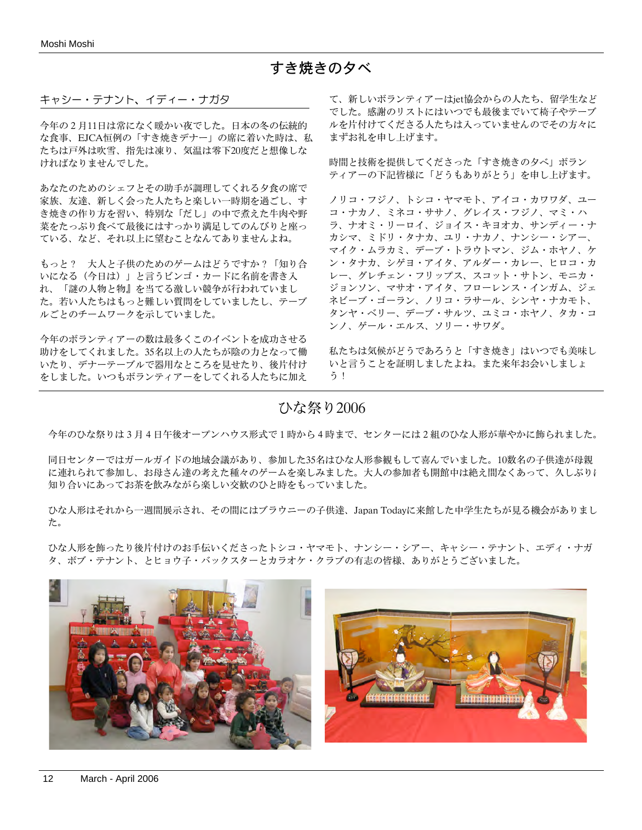## すき焼きの夕べ

#### キャシー・テナント、イディー・ナガタ

今年の2月11日は常になく暖かい夜でした。日本の冬の伝統的 な食事、EJCA恒例の「すき焼きデナー」の席に着いた時は、私 たちは戸外は吹雪、指先は凍り、気温は零下20度だと想像しな ければなりませんでした。

あなたのためのシェフとその助手が調理してくれる夕食の席で 家族、友達、新しく会った人たちと楽しい一時期を過ごし、す き焼きの作り方を習い、特別な「だし」の中で煮えた牛肉や野 菜をたっぷり食べて最後にはすっかり満足してのんびりと座っ ている、など、それ以上に望むことなんてありませんよね。

もっと? 大人と子供のためのゲームはどうですか?「知り合 いになる(今日は)」と言うビンゴ・カードに名前を書き入 れ、「謎の人物と物』を当てる激しい競争が行われていまし た。若い人たちはもっと難しい質問をしていましたし、テーブ ルごとのチームワークを示していました。

今年のボランティアーの数は最多くこのイベントを成功させる 助けをしてくれました。35名以上の人たちが陰の力となって働 いたり、デナーテーブルで器用なところを見せたり、後片付け をしました。いつもボランティアーをしてくれる人たちに加え

て、新しいボランティアーはjet協会からの人たち、留学生など でした。感謝のリストにはいつでも最後までいて椅子やテーブ ルを片付けてくださる人たちは入っていませんのでその方々に まずお礼を申し上げます。

時間と技術を提供してくださった「すき焼きの夕べ」ボラン ティアーの下記皆様に「どうもありがとう」を申し上げます。

ノリコ・フジノ、トシコ・ヤマモト、アイコ・カワワダ、ユー コ・ナカノ、ミネコ・ササノ、グレイス・フジノ、マミ・ハ ラ、ナオミ・リーロイ、ジョイス・キヨオカ、サンディー・ナ カシマ、ミドリ・タナカ、ユリ・ナカノ、ナンシー・シアー、 マイク・ムラカミ、デーブ・トラウトマン、ジム・ホヤノ、ケ ン・タナカ、シゲヨ・アイタ、アルダー・カレー、ヒロコ・カ レー、グレチェン・フリップス、スコット・サトン、モニカ・ ジョンソン、マサオ・アイタ、フローレンス・インガム、ジェ ネビーブ・ゴーラン、ノリコ・ラサール、シンヤ・ナカモト、 タンヤ・ベリー、デーブ・サルツ、ユミコ・ホヤノ、タカ・コ ンノ、ゲール・エルス、ソリー・サワダ。

私たちは気候がどうであろうと「すき焼き」はいつでも美味し いと言うことを証明しましたよね。また来年お会いしましょ う!

## ひな祭り2006

今年のひな祭りは3月4日午後オープンハウス形式で1時から4時まで、センターには2組のひな人形が華やかに飾られました。

同日センターではガールガイドの地域会議があり、参加した35名はひな人形参観もして喜んでいました。10数名の子供達が母親 に連れられて参加し、お母さん達の考えた種々のゲームを楽しみました。大人の参加者も開館中は絶え間なくあって、久しぶりに 知り合いにあってお茶を飲みながら楽しい交歓のひと時をもっていました。

ひな人形はそれから一週間展示され、その間にはブラウニーの子供達、Japan Todayに来館した中学生たちが見る機会がありまし た。

ひな人形を飾ったり後片付けのお手伝いくださったトシコ・ヤマモト、ナンシー・シアー、キャシー・テナント、エディ・ナガ タ、ボブ・テナント、とヒョウ子・バックスターとカラオケ・クラブの有志の皆様、ありがとうございました。

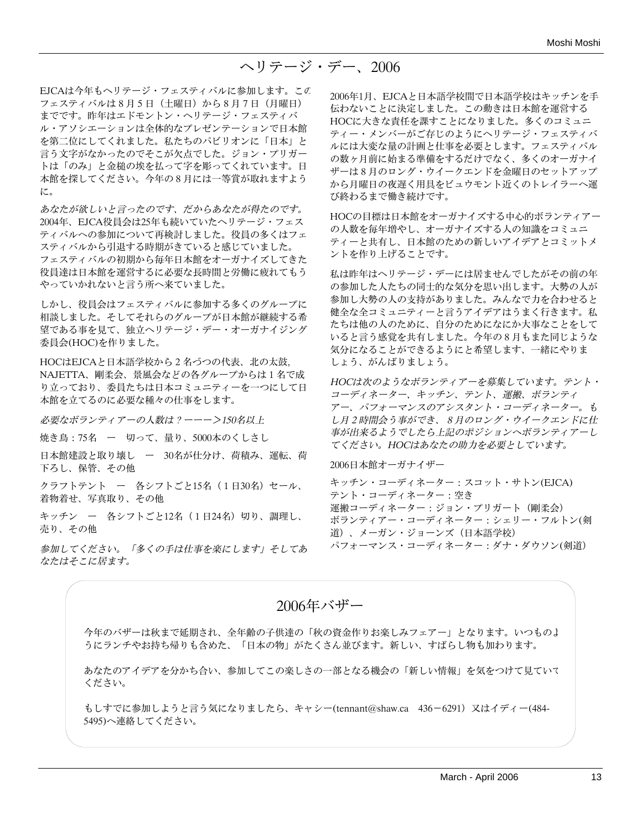EJCAは今年もヘリテージ・フェスティバルに参加します。この フェスティバルは8月5日(土曜日)から8月7日(月曜日) までです。昨年はエドモントン・ヘリテージ・フェスティバ ル・アソシエーションは全体的なプレゼンテーションで日本館 を第二位にしてくれました。私たちのパビリオンに「日本」と 言う文字がなかったのでそこが欠点でした。ジョン・プリガー トは「のみ」と金槌の埃を払って字を彫ってくれています。日 本館を探してください。今年の8月には一等賞が取れますよう に。

あなたが欲しいと言ったのです、だからあなたが得たのです。 2004年、EJCA役員会は25年も続いていたヘリテージ・フェス ティバルへの参加について再検討しました。役員の多くはフェ スティバルから引退する時期がきていると感じていました。 フェスティバルの初期から毎年日本館をオーガナイズしてきた 役員達は日本館を運営するに必要な長時間と労働に疲れてもう やっていかれないと言う所へ来ていました。

しかし、役員会はフェスティバルに参加する多くのグループに 相談しました。そしてそれらのグループが日本館が継続する希 望である事を見て、独立ヘリテージ・デー・オーガナイジング 委員会(HOC)を作りました。

HOCはEJCAと日本語学校から2名づつの代表、北の太鼓, NAJETTA、剛柔会、景風会などの各グループからは1名で成 り立っており、委員たちは日本コミュニティーを一つにして日 本館を立てるのに必要な種々の仕事をします。

必要なボランティアーの人数は?ーーー>150名以上

焼き鳥:75名 ー 切って、量り、5000本のくしさし

日本館建設と取り壊し ー 30名が仕分け、荷積み、運転、荷 下ろし、保管、その他

クラフトテント ー 各シフトごと15名 (1日30名) セール、 着物着せ、写真取り、その他

キッチン ー 各シフトごと12名 (1日24名)切り、調理し、 売り、その他

参加してください。「多くの手は仕事を楽にします」そしてあ なたはそこに居ます。

2006年1月、EJCAと日本語学校間で日本語学校はキッチンを手 伝わないことに決定しました。この動きは日本館を運営する HOCに大きな責任を課すことになりました。多くのコミュニ ティー・メンバーがご存じのようにヘリテージ・フェスティバ ルには大変な量の計画と仕事を必要とします。フェスティバル の数ヶ月前に始まる準備をするだけでなく、多くのオーガナイ ザーは8月のロング・ウイークエンドを金曜日のセットアップ から月曜日の夜遅く用具をビュウモント近くのトレイラーへ運 び終わるまで働き続けです。

HOCの目標は日本館をオーガナイズする中心的ボランティアー の人数を毎年増やし、オーガナイズする人の知識をコミュニ ティーと共有し、日本館のための新しいアイデアとコミットメ ントを作り上げることです。

私は昨年はヘリテージ・デーには居ませんでしたがその前の年 の参加した人たちの同士的な気分を思い出します。大勢の人が 参加し大勢の人の支持がありました。みんなで力を合わせると 健全な全コミュニティーと言うアイデアはうまく行きます。私 たちは他の人のために、自分のためになにか大事なことをして いると言う感覚を共有しました。今年の8月もまた同じような 気分になることができるようにと希望します、一緒にやりま しょう、がんばりましょう。

HOCは次のようなボランティアーを募集しています。テント・ コーディネーター、キッチン、テント、運搬、ボランティ アー、パフォーマンスのアシスタント・コーディネーター。も し月2時間会う事ができ、8月のロング・ウイークエンドに仕 事が出来るようでしたら上記のポジションへボランティアーし てください。HOCはあなたの助力を必要としています。

2006日本館オーガナイザー

キッチン・コーディネーター:スコット・サトン(EJCA) テント・コーディネーター:空き 運搬コーディネーター:ジョン・プリガート(剛柔会) ボランティアー・コーディネーター:シェリー・フルトン(剣 道)、メーガン・ジョーンズ(日本語学校) パフォーマンス・コーディネーター:ダナ・ダウソン(剣道)

2006年バザー

今年のバザーは秋まで延期され、全年齢の子供達の「秋の資金作りお楽しみフェアー」となります。いつものよ うにランチやお持ち帰りも含めた、「日本の物」がたくさん並びます。新しい、すばらし物も加わります。

あなたのアイデアを分かち合い、参加してこの楽しさの一部となる機会の「新しい情報」を気をつけて見ていて ください。

もしすでに参加しようと言う気になりましたら、キャシー(tennant@shaw.ca 436-6291)又はイディー(484- 5495)へ連絡してください。